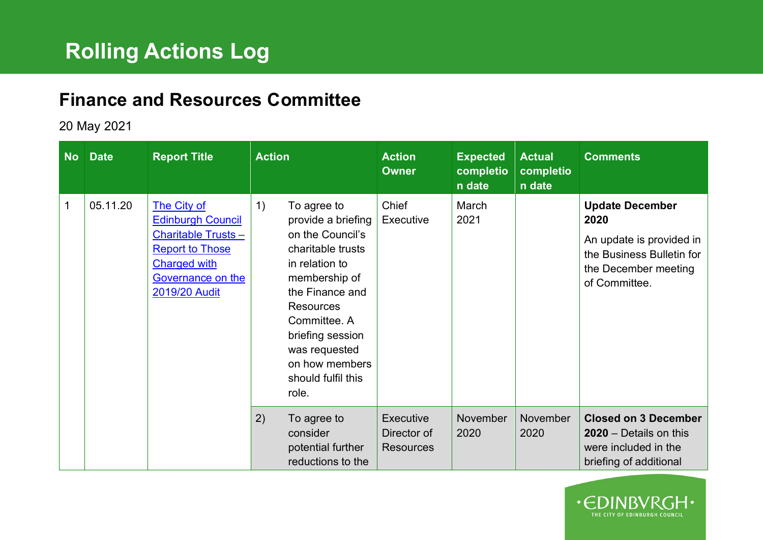## **Finance and Resources Committee**

20 May 2021

| No l | <b>Date</b> | <b>Report Title</b>                                                                                                                                         | <b>Action</b>                                                                                                                                                                                                                                                    | <b>Action</b><br><b>Owner</b>                | <b>Expected</b><br>completio<br>n date | <b>Actual</b><br>completio<br>n date | <b>Comments</b>                                                                                                                  |
|------|-------------|-------------------------------------------------------------------------------------------------------------------------------------------------------------|------------------------------------------------------------------------------------------------------------------------------------------------------------------------------------------------------------------------------------------------------------------|----------------------------------------------|----------------------------------------|--------------------------------------|----------------------------------------------------------------------------------------------------------------------------------|
| 1    | 05.11.20    | The City of<br><b>Edinburgh Council</b><br><b>Charitable Trusts-</b><br><b>Report to Those</b><br><b>Charged with</b><br>Governance on the<br>2019/20 Audit | 1)<br>To agree to<br>provide a briefing<br>on the Council's<br>charitable trusts<br>in relation to<br>membership of<br>the Finance and<br><b>Resources</b><br>Committee. A<br>briefing session<br>was requested<br>on how members<br>should fulfil this<br>role. | Chief<br>Executive                           | March<br>2021                          |                                      | <b>Update December</b><br>2020<br>An update is provided in<br>the Business Bulletin for<br>the December meeting<br>of Committee. |
|      |             |                                                                                                                                                             | 2)<br>To agree to<br>consider<br>potential further<br>reductions to the                                                                                                                                                                                          | Executive<br>Director of<br><b>Resources</b> | <b>November</b><br>2020                | November<br>2020                     | <b>Closed on 3 December</b><br>$2020 - Details$ on this<br>were included in the<br>briefing of additional                        |

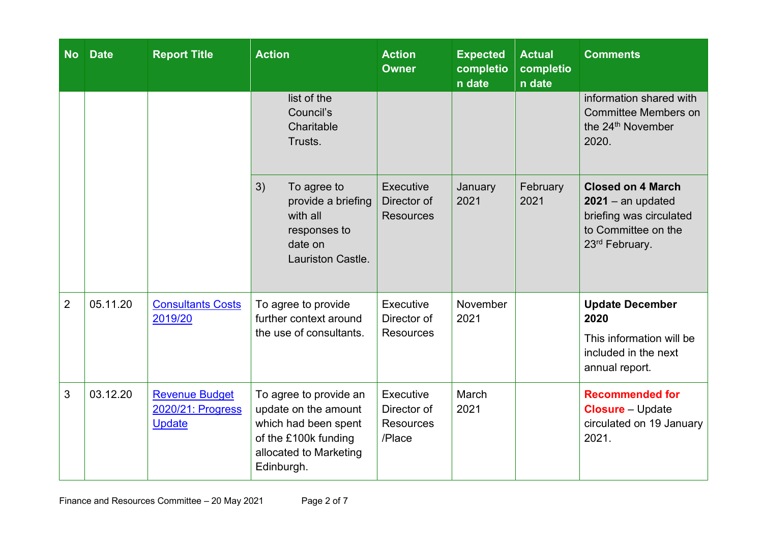| <b>No</b>      | <b>Date</b> | <b>Report Title</b>                                         | <b>Action</b>                                                                                                                          | <b>Action</b><br><b>Owner</b>                          | <b>Expected</b><br>completio<br>n date | <b>Actual</b><br>completio<br>n date | <b>Comments</b>                                                                                                     |
|----------------|-------------|-------------------------------------------------------------|----------------------------------------------------------------------------------------------------------------------------------------|--------------------------------------------------------|----------------------------------------|--------------------------------------|---------------------------------------------------------------------------------------------------------------------|
|                |             |                                                             | list of the<br>Council's<br>Charitable<br>Trusts.                                                                                      |                                                        |                                        |                                      | information shared with<br><b>Committee Members on</b><br>the 24 <sup>th</sup> November<br>2020.                    |
|                |             |                                                             | 3)<br>To agree to<br>provide a briefing<br>with all<br>responses to<br>date on<br>Lauriston Castle.                                    | Executive<br>Director of<br><b>Resources</b>           | January<br>2021                        | February<br>2021                     | <b>Closed on 4 March</b><br>$2021 -$ an updated<br>briefing was circulated<br>to Committee on the<br>23rd February. |
| $\overline{2}$ | 05.11.20    | <b>Consultants Costs</b><br>2019/20                         | To agree to provide<br>further context around<br>the use of consultants.                                                               | Executive<br>Director of<br><b>Resources</b>           | November<br>2021                       |                                      | <b>Update December</b><br>2020<br>This information will be<br>included in the next<br>annual report.                |
| 3              | 03.12.20    | <b>Revenue Budget</b><br>2020/21: Progress<br><b>Update</b> | To agree to provide an<br>update on the amount<br>which had been spent<br>of the £100k funding<br>allocated to Marketing<br>Edinburgh. | Executive<br>Director of<br><b>Resources</b><br>/Place | March<br>2021                          |                                      | <b>Recommended for</b><br><b>Closure</b> - Update<br>circulated on 19 January<br>2021.                              |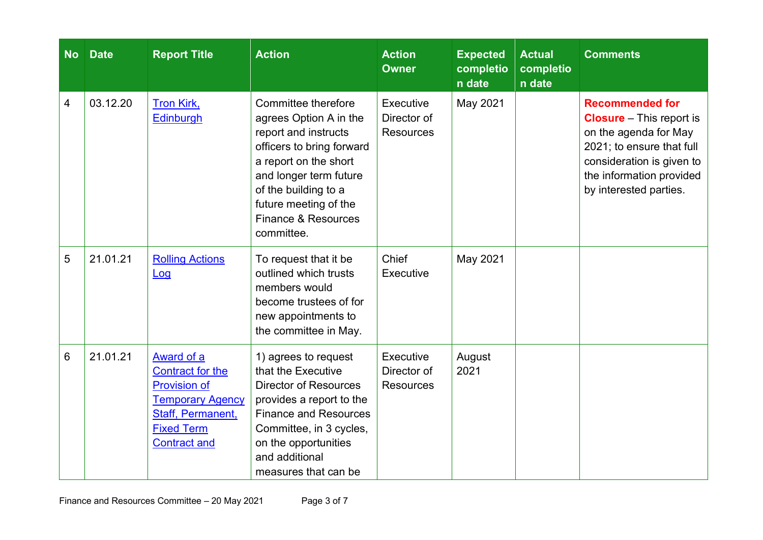| <b>No</b> | <b>Date</b> | <b>Report Title</b>                                                                                                                                      | <b>Action</b>                                                                                                                                                                                                                               | <b>Action</b><br><b>Owner</b>                | <b>Expected</b><br>completio<br>n date | <b>Actual</b><br>completio<br>n date | <b>Comments</b>                                                                                                                                                                                    |
|-----------|-------------|----------------------------------------------------------------------------------------------------------------------------------------------------------|---------------------------------------------------------------------------------------------------------------------------------------------------------------------------------------------------------------------------------------------|----------------------------------------------|----------------------------------------|--------------------------------------|----------------------------------------------------------------------------------------------------------------------------------------------------------------------------------------------------|
| 4         | 03.12.20    | <b>Tron Kirk,</b><br><b>Edinburgh</b>                                                                                                                    | Committee therefore<br>agrees Option A in the<br>report and instructs<br>officers to bring forward<br>a report on the short<br>and longer term future<br>of the building to a<br>future meeting of the<br>Finance & Resources<br>committee. | Executive<br>Director of<br><b>Resources</b> | May 2021                               |                                      | <b>Recommended for</b><br><b>Closure</b> – This report is<br>on the agenda for May<br>2021; to ensure that full<br>consideration is given to<br>the information provided<br>by interested parties. |
| 5         | 21.01.21    | <b>Rolling Actions</b><br>Log                                                                                                                            | To request that it be<br>outlined which trusts<br>members would<br>become trustees of for<br>new appointments to<br>the committee in May.                                                                                                   | Chief<br>Executive                           | May 2021                               |                                      |                                                                                                                                                                                                    |
| 6         | 21.01.21    | <b>Award of a</b><br>Contract for the<br><b>Provision of</b><br><b>Temporary Agency</b><br>Staff, Permanent,<br><b>Fixed Term</b><br><b>Contract and</b> | 1) agrees to request<br>that the Executive<br><b>Director of Resources</b><br>provides a report to the<br><b>Finance and Resources</b><br>Committee, in 3 cycles,<br>on the opportunities<br>and additional<br>measures that can be         | Executive<br>Director of<br><b>Resources</b> | August<br>2021                         |                                      |                                                                                                                                                                                                    |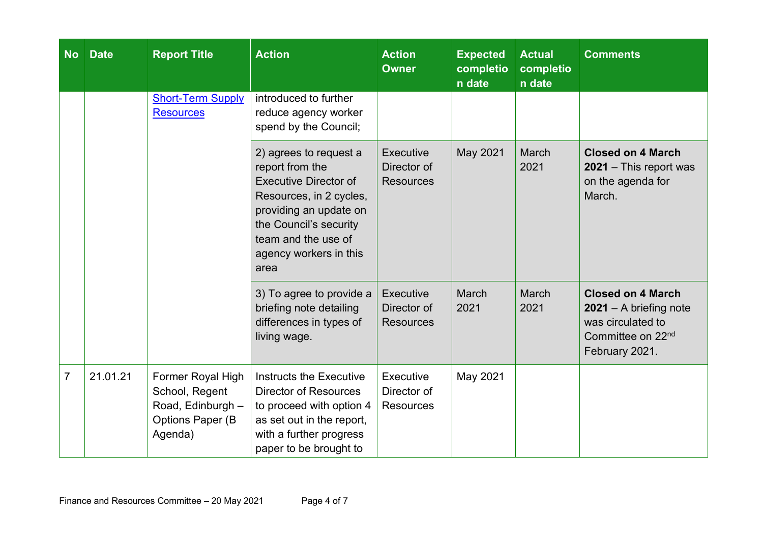| <b>No</b>      | <b>Date</b> | <b>Report Title</b>                                                                     | <b>Action</b>                                                                                                                                                                                                     | <b>Action</b><br><b>Owner</b>                | <b>Expected</b><br>completio<br>n date | <b>Actual</b><br>completio<br>n date | <b>Comments</b>                                                                                                              |
|----------------|-------------|-----------------------------------------------------------------------------------------|-------------------------------------------------------------------------------------------------------------------------------------------------------------------------------------------------------------------|----------------------------------------------|----------------------------------------|--------------------------------------|------------------------------------------------------------------------------------------------------------------------------|
|                |             | <b>Short-Term Supply</b><br><b>Resources</b>                                            | introduced to further<br>reduce agency worker<br>spend by the Council;                                                                                                                                            |                                              |                                        |                                      |                                                                                                                              |
|                |             |                                                                                         | 2) agrees to request a<br>report from the<br><b>Executive Director of</b><br>Resources, in 2 cycles,<br>providing an update on<br>the Council's security<br>team and the use of<br>agency workers in this<br>area | Executive<br>Director of<br><b>Resources</b> | May 2021                               | <b>March</b><br>2021                 | <b>Closed on 4 March</b><br>2021 - This report was<br>on the agenda for<br>March.                                            |
|                |             |                                                                                         | 3) To agree to provide a<br>briefing note detailing<br>differences in types of<br>living wage.                                                                                                                    | Executive<br>Director of<br><b>Resources</b> | March<br>2021                          | March<br>2021                        | <b>Closed on 4 March</b><br>$2021 - A$ briefing note<br>was circulated to<br>Committee on 22 <sup>nd</sup><br>February 2021. |
| $\overline{7}$ | 21.01.21    | Former Royal High<br>School, Regent<br>Road, Edinburgh -<br>Options Paper (B<br>Agenda) | Instructs the Executive<br><b>Director of Resources</b><br>to proceed with option 4<br>as set out in the report,<br>with a further progress<br>paper to be brought to                                             | Executive<br>Director of<br><b>Resources</b> | May 2021                               |                                      |                                                                                                                              |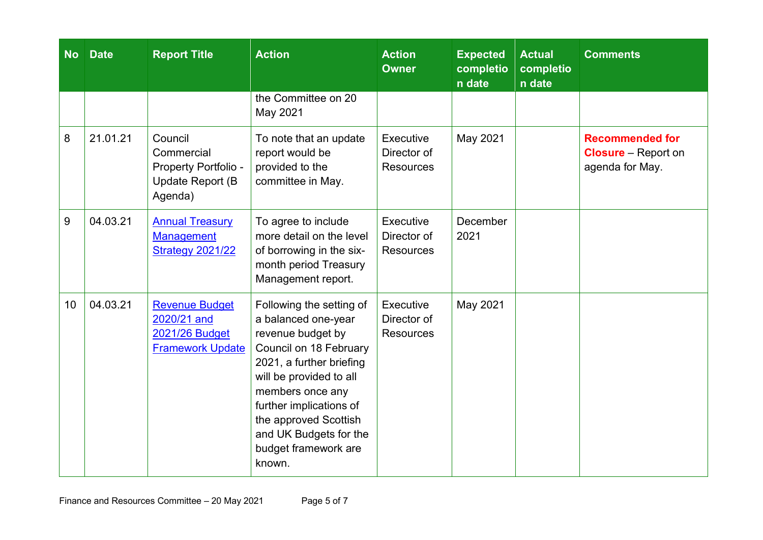| <b>No</b> | <b>Date</b> | <b>Report Title</b>                                                                      | <b>Action</b>                                                                                                                                                                                                                                                                             | <b>Action</b><br><b>Owner</b>                | <b>Expected</b><br>completio<br>n date | <b>Actual</b><br>completio<br>n date | <b>Comments</b>                                                         |
|-----------|-------------|------------------------------------------------------------------------------------------|-------------------------------------------------------------------------------------------------------------------------------------------------------------------------------------------------------------------------------------------------------------------------------------------|----------------------------------------------|----------------------------------------|--------------------------------------|-------------------------------------------------------------------------|
|           |             |                                                                                          | the Committee on 20<br>May 2021                                                                                                                                                                                                                                                           |                                              |                                        |                                      |                                                                         |
| 8         | 21.01.21    | Council<br>Commercial<br>Property Portfolio -<br>Update Report (B<br>Agenda)             | To note that an update<br>report would be<br>provided to the<br>committee in May.                                                                                                                                                                                                         | Executive<br>Director of<br><b>Resources</b> | May 2021                               |                                      | <b>Recommended for</b><br><b>Closure</b> – Report on<br>agenda for May. |
| 9         | 04.03.21    | <b>Annual Treasury</b><br><b>Management</b><br><b>Strategy 2021/22</b>                   | To agree to include<br>more detail on the level<br>of borrowing in the six-<br>month period Treasury<br>Management report.                                                                                                                                                                | Executive<br>Director of<br><b>Resources</b> | December<br>2021                       |                                      |                                                                         |
| 10        | 04.03.21    | <b>Revenue Budget</b><br>2020/21 and<br><b>2021/26 Budget</b><br><b>Framework Update</b> | Following the setting of<br>a balanced one-year<br>revenue budget by<br>Council on 18 February<br>2021, a further briefing<br>will be provided to all<br>members once any<br>further implications of<br>the approved Scottish<br>and UK Budgets for the<br>budget framework are<br>known. | Executive<br>Director of<br><b>Resources</b> | May 2021                               |                                      |                                                                         |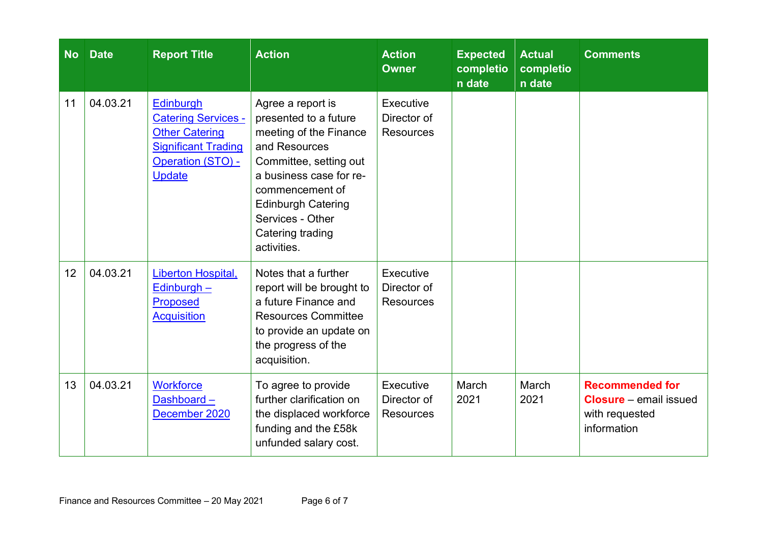| <b>No</b> | <b>Date</b> | <b>Report Title</b>                                                                                                                         | <b>Action</b>                                                                                                                                                                                                                                     | <b>Action</b><br><b>Owner</b>                | <b>Expected</b><br>completio<br>n date | <b>Actual</b><br>completio<br>n date | <b>Comments</b>                                                                          |
|-----------|-------------|---------------------------------------------------------------------------------------------------------------------------------------------|---------------------------------------------------------------------------------------------------------------------------------------------------------------------------------------------------------------------------------------------------|----------------------------------------------|----------------------------------------|--------------------------------------|------------------------------------------------------------------------------------------|
| 11        | 04.03.21    | <b>Edinburgh</b><br><b>Catering Services -</b><br><b>Other Catering</b><br><b>Significant Trading</b><br>Operation (STO) -<br><b>Update</b> | Agree a report is<br>presented to a future<br>meeting of the Finance<br>and Resources<br>Committee, setting out<br>a business case for re-<br>commencement of<br><b>Edinburgh Catering</b><br>Services - Other<br>Catering trading<br>activities. | Executive<br>Director of<br><b>Resources</b> |                                        |                                      |                                                                                          |
| 12        | 04.03.21    | Liberton Hospital,<br>$Edinburgh -$<br><b>Proposed</b><br><b>Acquisition</b>                                                                | Notes that a further<br>report will be brought to<br>a future Finance and<br><b>Resources Committee</b><br>to provide an update on<br>the progress of the<br>acquisition.                                                                         | Executive<br>Director of<br><b>Resources</b> |                                        |                                      |                                                                                          |
| 13        | 04.03.21    | <b>Workforce</b><br>Dashboard-<br>December 2020                                                                                             | To agree to provide<br>further clarification on<br>the displaced workforce<br>funding and the £58k<br>unfunded salary cost.                                                                                                                       | Executive<br>Director of<br><b>Resources</b> | March<br>2021                          | March<br>2021                        | <b>Recommended for</b><br><b>Closure</b> – email issued<br>with requested<br>information |